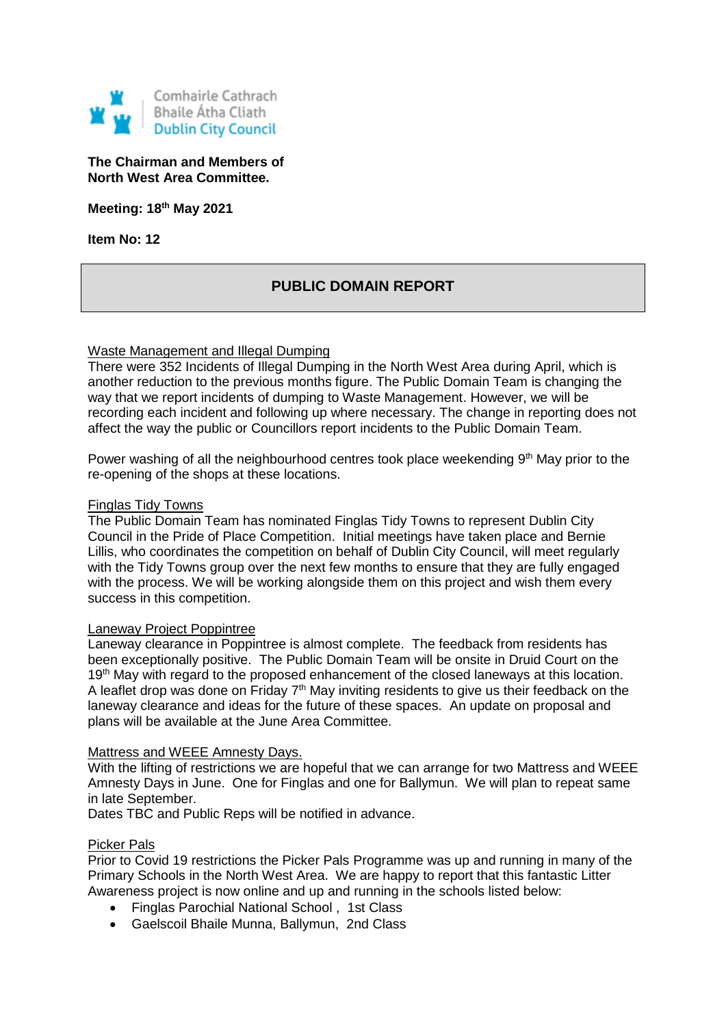

## **The Chairman and Members of North West Area Committee.**

**Meeting: 18th May 2021**

**Item No: 12**

# **PUBLIC DOMAIN REPORT**

### Waste Management and Illegal Dumping

There were 352 Incidents of Illegal Dumping in the North West Area during April, which is another reduction to the previous months figure. The Public Domain Team is changing the way that we report incidents of dumping to Waste Management. However, we will be recording each incident and following up where necessary. The change in reporting does not affect the way the public or Councillors report incidents to the Public Domain Team.

Power washing of all the neighbourhood centres took place weekending  $9<sup>th</sup>$  May prior to the re-opening of the shops at these locations.

#### Finglas Tidy Towns

The Public Domain Team has nominated Finglas Tidy Towns to represent Dublin City Council in the Pride of Place Competition. Initial meetings have taken place and Bernie Lillis, who coordinates the competition on behalf of Dublin City Council, will meet regularly with the Tidy Towns group over the next few months to ensure that they are fully engaged with the process. We will be working alongside them on this project and wish them every success in this competition.

#### Laneway Project Poppintree

Laneway clearance in Poppintree is almost complete. The feedback from residents has been exceptionally positive. The Public Domain Team will be onsite in Druid Court on the 19<sup>th</sup> May with regard to the proposed enhancement of the closed laneways at this location. A leaflet drop was done on Friday  $7<sup>th</sup>$  May inviting residents to give us their feedback on the laneway clearance and ideas for the future of these spaces. An update on proposal and plans will be available at the June Area Committee.

#### Mattress and WEEE Amnesty Days.

With the lifting of restrictions we are hopeful that we can arrange for two Mattress and WEEE Amnesty Days in June. One for Finglas and one for Ballymun. We will plan to repeat same in late September.

Dates TBC and Public Reps will be notified in advance.

#### Picker Pals

Prior to Covid 19 restrictions the Picker Pals Programme was up and running in many of the Primary Schools in the North West Area. We are happy to report that this fantastic Litter Awareness project is now online and up and running in the schools listed below:

- Finglas Parochial National School , 1st Class
- Gaelscoil Bhaile Munna, Ballymun, 2nd Class